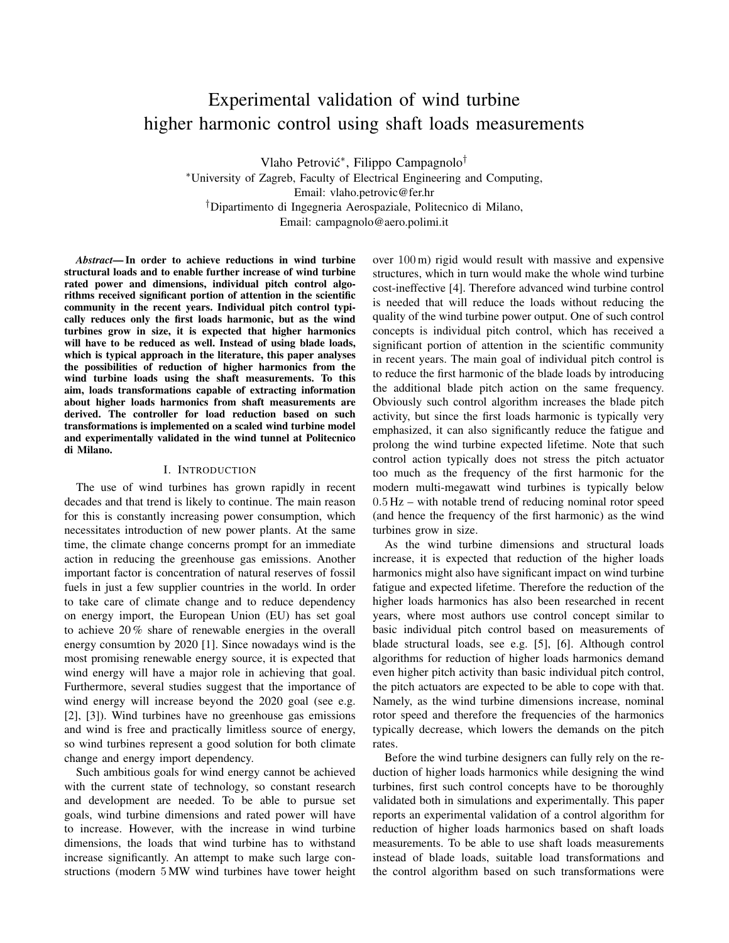# Experimental validation of wind turbine higher harmonic control using shaft loads measurements

Vlaho Petrović<sup>\*</sup>, Filippo Campagnolo<sup>†</sup> <sup>∗</sup>University of Zagreb, Faculty of Electrical Engineering and Computing, Email: vlaho.petrovic@fer.hr †Dipartimento di Ingegneria Aerospaziale, Politecnico di Milano, Email: campagnolo@aero.polimi.it

*Abstract*— In order to achieve reductions in wind turbine structural loads and to enable further increase of wind turbine rated power and dimensions, individual pitch control algorithms received significant portion of attention in the scientific community in the recent years. Individual pitch control typically reduces only the first loads harmonic, but as the wind turbines grow in size, it is expected that higher harmonics will have to be reduced as well. Instead of using blade loads, which is typical approach in the literature, this paper analyses the possibilities of reduction of higher harmonics from the wind turbine loads using the shaft measurements. To this aim, loads transformations capable of extracting information about higher loads harmonics from shaft measurements are derived. The controller for load reduction based on such transformations is implemented on a scaled wind turbine model and experimentally validated in the wind tunnel at Politecnico di Milano.

## I. INTRODUCTION

The use of wind turbines has grown rapidly in recent decades and that trend is likely to continue. The main reason for this is constantly increasing power consumption, which necessitates introduction of new power plants. At the same time, the climate change concerns prompt for an immediate action in reducing the greenhouse gas emissions. Another important factor is concentration of natural reserves of fossil fuels in just a few supplier countries in the world. In order to take care of climate change and to reduce dependency on energy import, the European Union (EU) has set goal to achieve 20 % share of renewable energies in the overall energy consumtion by 2020 [1]. Since nowadays wind is the most promising renewable energy source, it is expected that wind energy will have a major role in achieving that goal. Furthermore, several studies suggest that the importance of wind energy will increase beyond the 2020 goal (see e.g. [2], [3]). Wind turbines have no greenhouse gas emissions and wind is free and practically limitless source of energy, so wind turbines represent a good solution for both climate change and energy import dependency.

Such ambitious goals for wind energy cannot be achieved with the current state of technology, so constant research and development are needed. To be able to pursue set goals, wind turbine dimensions and rated power will have to increase. However, with the increase in wind turbine dimensions, the loads that wind turbine has to withstand increase significantly. An attempt to make such large constructions (modern 5 MW wind turbines have tower height over 100 m) rigid would result with massive and expensive structures, which in turn would make the whole wind turbine cost-ineffective [4]. Therefore advanced wind turbine control is needed that will reduce the loads without reducing the quality of the wind turbine power output. One of such control concepts is individual pitch control, which has received a significant portion of attention in the scientific community in recent years. The main goal of individual pitch control is to reduce the first harmonic of the blade loads by introducing the additional blade pitch action on the same frequency. Obviously such control algorithm increases the blade pitch activity, but since the first loads harmonic is typically very emphasized, it can also significantly reduce the fatigue and prolong the wind turbine expected lifetime. Note that such control action typically does not stress the pitch actuator too much as the frequency of the first harmonic for the modern multi-megawatt wind turbines is typically below 0.5 Hz – with notable trend of reducing nominal rotor speed (and hence the frequency of the first harmonic) as the wind turbines grow in size.

As the wind turbine dimensions and structural loads increase, it is expected that reduction of the higher loads harmonics might also have significant impact on wind turbine fatigue and expected lifetime. Therefore the reduction of the higher loads harmonics has also been researched in recent years, where most authors use control concept similar to basic individual pitch control based on measurements of blade structural loads, see e.g. [5], [6]. Although control algorithms for reduction of higher loads harmonics demand even higher pitch activity than basic individual pitch control, the pitch actuators are expected to be able to cope with that. Namely, as the wind turbine dimensions increase, nominal rotor speed and therefore the frequencies of the harmonics typically decrease, which lowers the demands on the pitch rates.

Before the wind turbine designers can fully rely on the reduction of higher loads harmonics while designing the wind turbines, first such control concepts have to be thoroughly validated both in simulations and experimentally. This paper reports an experimental validation of a control algorithm for reduction of higher loads harmonics based on shaft loads measurements. To be able to use shaft loads measurements instead of blade loads, suitable load transformations and the control algorithm based on such transformations were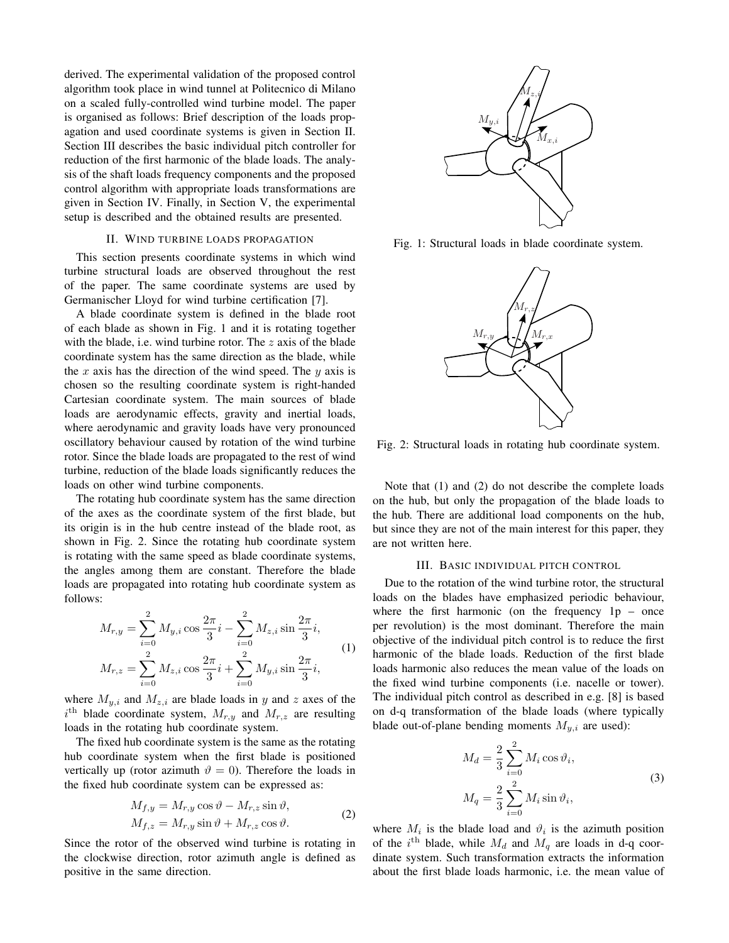derived. The experimental validation of the proposed control algorithm took place in wind tunnel at Politecnico di Milano on a scaled fully-controlled wind turbine model. The paper is organised as follows: Brief description of the loads propagation and used coordinate systems is given in Section II. Section III describes the basic individual pitch controller for reduction of the first harmonic of the blade loads. The analysis of the shaft loads frequency components and the proposed control algorithm with appropriate loads transformations are given in Section IV. Finally, in Section V, the experimental setup is described and the obtained results are presented.

# II. WIND TURBINE LOADS PROPAGATION

This section presents coordinate systems in which wind turbine structural loads are observed throughout the rest of the paper. The same coordinate systems are used by Germanischer Lloyd for wind turbine certification [7].

A blade coordinate system is defined in the blade root of each blade as shown in Fig. 1 and it is rotating together with the blade, i.e. wind turbine rotor. The  $z$  axis of the blade coordinate system has the same direction as the blade, while the x axis has the direction of the wind speed. The y axis is chosen so the resulting coordinate system is right-handed Cartesian coordinate system. The main sources of blade loads are aerodynamic effects, gravity and inertial loads, where aerodynamic and gravity loads have very pronounced oscillatory behaviour caused by rotation of the wind turbine rotor. Since the blade loads are propagated to the rest of wind turbine, reduction of the blade loads significantly reduces the loads on other wind turbine components.

The rotating hub coordinate system has the same direction of the axes as the coordinate system of the first blade, but its origin is in the hub centre instead of the blade root, as shown in Fig. 2. Since the rotating hub coordinate system is rotating with the same speed as blade coordinate systems, the angles among them are constant. Therefore the blade loads are propagated into rotating hub coordinate system as follows:

$$
M_{r,y} = \sum_{i=0}^{2} M_{y,i} \cos \frac{2\pi}{3} i - \sum_{i=0}^{2} M_{z,i} \sin \frac{2\pi}{3} i,
$$
  

$$
M_{r,z} = \sum_{i=0}^{2} M_{z,i} \cos \frac{2\pi}{3} i + \sum_{i=0}^{2} M_{y,i} \sin \frac{2\pi}{3} i,
$$
 (1)

where  $M_{y,i}$  and  $M_{z,i}$  are blade loads in y and z axes of the  $i^{\text{th}}$  blade coordinate system,  $M_{r,y}$  and  $M_{r,z}$  are resulting loads in the rotating hub coordinate system.

The fixed hub coordinate system is the same as the rotating hub coordinate system when the first blade is positioned vertically up (rotor azimuth  $\vartheta = 0$ ). Therefore the loads in the fixed hub coordinate system can be expressed as:

$$
M_{f,y} = M_{r,y} \cos \vartheta - M_{r,z} \sin \vartheta,
$$
  

$$
M_{f,z} = M_{r,y} \sin \vartheta + M_{r,z} \cos \vartheta.
$$
 (2)

Since the rotor of the observed wind turbine is rotating in the clockwise direction, rotor azimuth angle is defined as positive in the same direction.



Fig. 1: Structural loads in blade coordinate system.



Fig. 2: Structural loads in rotating hub coordinate system.

Note that (1) and (2) do not describe the complete loads on the hub, but only the propagation of the blade loads to the hub. There are additional load components on the hub, but since they are not of the main interest for this paper, they are not written here.

#### III. BASIC INDIVIDUAL PITCH CONTROL

Due to the rotation of the wind turbine rotor, the structural loads on the blades have emphasized periodic behaviour, where the first harmonic (on the frequency  $1p -$  once per revolution) is the most dominant. Therefore the main objective of the individual pitch control is to reduce the first harmonic of the blade loads. Reduction of the first blade loads harmonic also reduces the mean value of the loads on the fixed wind turbine components (i.e. nacelle or tower). The individual pitch control as described in e.g. [8] is based on d-q transformation of the blade loads (where typically blade out-of-plane bending moments  $M_{y,i}$  are used):

$$
M_d = \frac{2}{3} \sum_{i=0}^{2} M_i \cos \vartheta_i,
$$
  

$$
M_q = \frac{2}{3} \sum_{i=0}^{2} M_i \sin \vartheta_i,
$$
 (3)

where  $M_i$  is the blade load and  $\vartheta_i$  is the azimuth position of the  $i^{\text{th}}$  blade, while  $M_d$  and  $M_q$  are loads in d-q coordinate system. Such transformation extracts the information about the first blade loads harmonic, i.e. the mean value of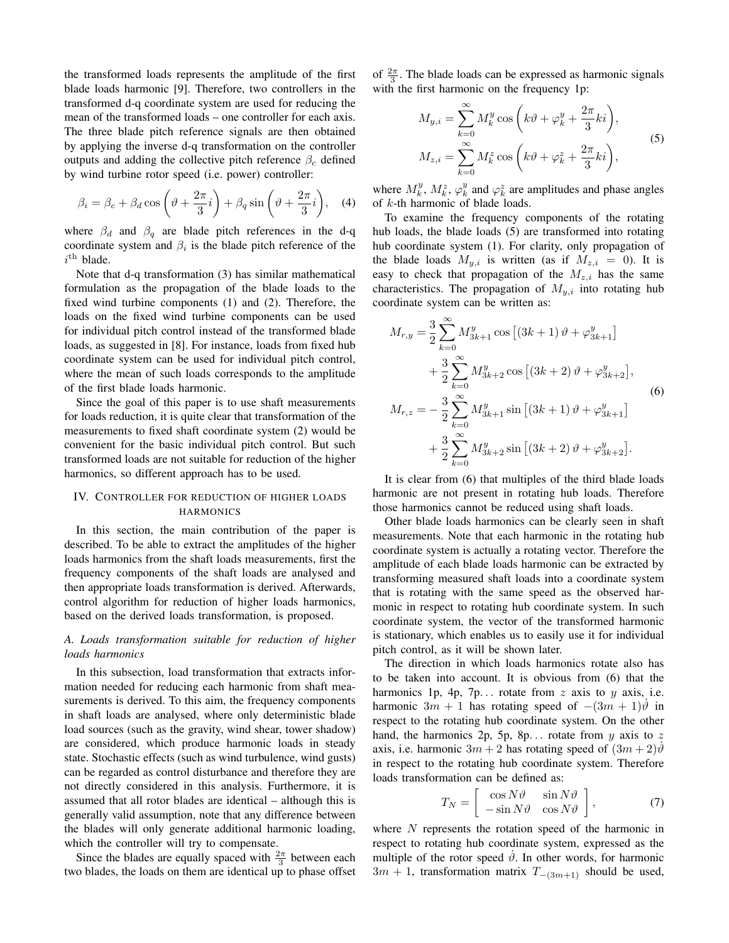the transformed loads represents the amplitude of the first blade loads harmonic [9]. Therefore, two controllers in the transformed d-q coordinate system are used for reducing the mean of the transformed loads – one controller for each axis. The three blade pitch reference signals are then obtained by applying the inverse d-q transformation on the controller outputs and adding the collective pitch reference  $\beta_c$  defined by wind turbine rotor speed (i.e. power) controller:

$$
\beta_i = \beta_c + \beta_d \cos\left(\vartheta + \frac{2\pi}{3}i\right) + \beta_q \sin\left(\vartheta + \frac{2\pi}{3}i\right), \quad (4)
$$

where  $\beta_d$  and  $\beta_q$  are blade pitch references in the d-q coordinate system and  $\beta_i$  is the blade pitch reference of the  $i^{\text{th}}$  blade.

Note that d-q transformation (3) has similar mathematical formulation as the propagation of the blade loads to the fixed wind turbine components (1) and (2). Therefore, the loads on the fixed wind turbine components can be used for individual pitch control instead of the transformed blade loads, as suggested in [8]. For instance, loads from fixed hub coordinate system can be used for individual pitch control, where the mean of such loads corresponds to the amplitude of the first blade loads harmonic.

Since the goal of this paper is to use shaft measurements for loads reduction, it is quite clear that transformation of the measurements to fixed shaft coordinate system (2) would be convenient for the basic individual pitch control. But such transformed loads are not suitable for reduction of the higher harmonics, so different approach has to be used.

# IV. CONTROLLER FOR REDUCTION OF HIGHER LOADS HARMONICS

In this section, the main contribution of the paper is described. To be able to extract the amplitudes of the higher loads harmonics from the shaft loads measurements, first the frequency components of the shaft loads are analysed and then appropriate loads transformation is derived. Afterwards, control algorithm for reduction of higher loads harmonics, based on the derived loads transformation, is proposed.

# *A. Loads transformation suitable for reduction of higher loads harmonics*

In this subsection, load transformation that extracts information needed for reducing each harmonic from shaft measurements is derived. To this aim, the frequency components in shaft loads are analysed, where only deterministic blade load sources (such as the gravity, wind shear, tower shadow) are considered, which produce harmonic loads in steady state. Stochastic effects (such as wind turbulence, wind gusts) can be regarded as control disturbance and therefore they are not directly considered in this analysis. Furthermore, it is assumed that all rotor blades are identical – although this is generally valid assumption, note that any difference between the blades will only generate additional harmonic loading, which the controller will try to compensate.

Since the blades are equally spaced with  $\frac{2\pi}{3}$  between each two blades, the loads on them are identical up to phase offset

of  $\frac{2\pi}{3}$ . The blade loads can be expressed as harmonic signals with the first harmonic on the frequency 1p:

$$
M_{y,i} = \sum_{k=0}^{\infty} M_k^y \cos\left(k\vartheta + \varphi_k^y + \frac{2\pi}{3}ki\right),
$$
  

$$
M_{z,i} = \sum_{k=0}^{\infty} M_k^z \cos\left(k\vartheta + \varphi_k^z + \frac{2\pi}{3}ki\right),
$$
 (5)

where  $M_k^y$ ,  $M_k^z$ ,  $\varphi_k^y$  and  $\varphi_k^z$  are amplitudes and phase angles of k-th harmonic of blade loads.

To examine the frequency components of the rotating hub loads, the blade loads (5) are transformed into rotating hub coordinate system (1). For clarity, only propagation of the blade loads  $M_{y,i}$  is written (as if  $M_{z,i} = 0$ ). It is easy to check that propagation of the  $M_{z,i}$  has the same characteristics. The propagation of  $M_{y,i}$  into rotating hub coordinate system can be written as:

$$
M_{r,y} = \frac{3}{2} \sum_{k=0}^{\infty} M_{3k+1}^{y} \cos \left[ (3k+1) \vartheta + \varphi_{3k+1}^{y} \right] + \frac{3}{2} \sum_{k=0}^{\infty} M_{3k+2}^{y} \cos \left[ (3k+2) \vartheta + \varphi_{3k+2}^{y} \right],
$$
  

$$
M_{r,z} = -\frac{3}{2} \sum_{k=0}^{\infty} M_{3k+1}^{y} \sin \left[ (3k+1) \vartheta + \varphi_{3k+1}^{y} \right] + \frac{3}{2} \sum_{k=0}^{\infty} M_{3k+2}^{y} \sin \left[ (3k+2) \vartheta + \varphi_{3k+2}^{y} \right].
$$
  
(6)

It is clear from (6) that multiples of the third blade loads harmonic are not present in rotating hub loads. Therefore those harmonics cannot be reduced using shaft loads.

Other blade loads harmonics can be clearly seen in shaft measurements. Note that each harmonic in the rotating hub coordinate system is actually a rotating vector. Therefore the amplitude of each blade loads harmonic can be extracted by transforming measured shaft loads into a coordinate system that is rotating with the same speed as the observed harmonic in respect to rotating hub coordinate system. In such coordinate system, the vector of the transformed harmonic is stationary, which enables us to easily use it for individual pitch control, as it will be shown later.

The direction in which loads harmonics rotate also has to be taken into account. It is obvious from (6) that the harmonics 1p, 4p, 7p... rotate from  $z$  axis to  $y$  axis, i.e. harmonic  $3m + 1$  has rotating speed of  $-(3m + 1)\dot{\theta}$  in respect to the rotating hub coordinate system. On the other hand, the harmonics 2p, 5p, 8p... rotate from  $y$  axis to z axis, i.e. harmonic  $3m + 2$  has rotating speed of  $(3m + 2)\dot{\theta}$ in respect to the rotating hub coordinate system. Therefore loads transformation can be defined as:

$$
T_N = \begin{bmatrix} \cos N\vartheta & \sin N\vartheta \\ -\sin N\vartheta & \cos N\vartheta \end{bmatrix},
$$
 (7)

where  $N$  represents the rotation speed of the harmonic in respect to rotating hub coordinate system, expressed as the multiple of the rotor speed  $\dot{\vartheta}$ . In other words, for harmonic  $3m + 1$ , transformation matrix  $T_{-(3m+1)}$  should be used,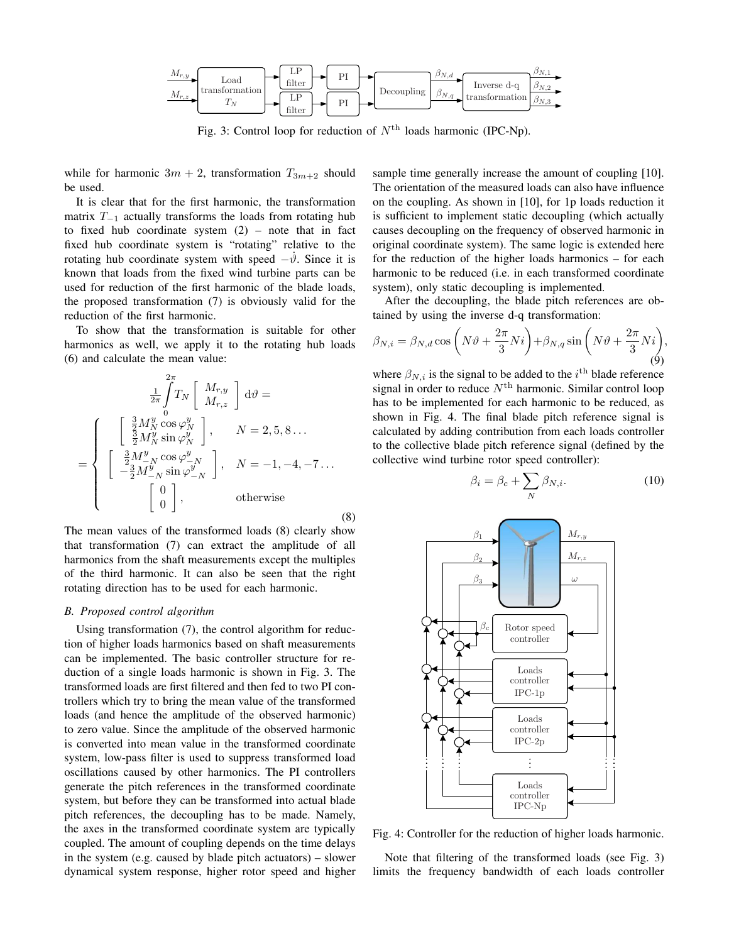

Fig. 3: Control loop for reduction of  $N<sup>th</sup>$  loads harmonic (IPC-Np).

while for harmonic  $3m + 2$ , transformation  $T_{3m+2}$  should be used.

It is clear that for the first harmonic, the transformation matrix  $T_{-1}$  actually transforms the loads from rotating hub to fixed hub coordinate system  $(2)$  – note that in fact fixed hub coordinate system is "rotating" relative to the rotating hub coordinate system with speed  $-\dot{\theta}$ . Since it is known that loads from the fixed wind turbine parts can be used for reduction of the first harmonic of the blade loads, the proposed transformation (7) is obviously valid for the reduction of the first harmonic.

To show that the transformation is suitable for other harmonics as well, we apply it to the rotating hub loads (6) and calculate the mean value:

$$
\frac{1}{2\pi} \int_{0}^{2\pi} T_N \begin{bmatrix} M_{r,y} \\ M_{r,z} \end{bmatrix} d\theta =
$$
\n
$$
= \begin{cases}\n\left[ \begin{array}{c} \frac{3}{2} M_N^y \cos \varphi_N^y \\ \frac{3}{2} M_N^y \sin \varphi_N^y \end{array} \right], \quad N = 2, 5, 8 \dots \\
\left[ \begin{array}{c} \frac{3}{2} M_N^y \cos \varphi_N^y \\ -\frac{3}{2} M_N^y \sin \varphi_N^y \end{array} \right], \quad N = -1, -4, -7 \dots \\
\left[ \begin{array}{c} 0 \\ 0 \end{array} \right], \quad \text{otherwise}\n\end{cases}
$$
\n(8)

The mean values of the transformed loads (8) clearly show that transformation (7) can extract the amplitude of all harmonics from the shaft measurements except the multiples of the third harmonic. It can also be seen that the right rotating direction has to be used for each harmonic.

## *B. Proposed control algorithm*

Using transformation (7), the control algorithm for reduction of higher loads harmonics based on shaft measurements can be implemented. The basic controller structure for reduction of a single loads harmonic is shown in Fig. 3. The transformed loads are first filtered and then fed to two PI controllers which try to bring the mean value of the transformed loads (and hence the amplitude of the observed harmonic) to zero value. Since the amplitude of the observed harmonic is converted into mean value in the transformed coordinate system, low-pass filter is used to suppress transformed load oscillations caused by other harmonics. The PI controllers generate the pitch references in the transformed coordinate system, but before they can be transformed into actual blade pitch references, the decoupling has to be made. Namely, the axes in the transformed coordinate system are typically coupled. The amount of coupling depends on the time delays in the system (e.g. caused by blade pitch actuators) – slower dynamical system response, higher rotor speed and higher

sample time generally increase the amount of coupling [10]. The orientation of the measured loads can also have influence on the coupling. As shown in [10], for 1p loads reduction it is sufficient to implement static decoupling (which actually causes decoupling on the frequency of observed harmonic in original coordinate system). The same logic is extended here for the reduction of the higher loads harmonics – for each harmonic to be reduced (i.e. in each transformed coordinate system), only static decoupling is implemented.

After the decoupling, the blade pitch references are obtained by using the inverse d-q transformation:

$$
\beta_{N,i} = \beta_{N,d} \cos \left( N \vartheta + \frac{2\pi}{3} N i \right) + \beta_{N,q} \sin \left( N \vartheta + \frac{2\pi}{3} N i \right),\tag{9}
$$

where  $\beta_{N,i}$  is the signal to be added to the  $i^{\text{th}}$  blade reference signal in order to reduce  $N<sup>th</sup>$  harmonic. Similar control loop has to be implemented for each harmonic to be reduced, as shown in Fig. 4. The final blade pitch reference signal is calculated by adding contribution from each loads controller to the collective blade pitch reference signal (defined by the collective wind turbine rotor speed controller):

$$
\beta_i = \beta_c + \sum_N \beta_{N,i}.\tag{10}
$$



Fig. 4: Controller for the reduction of higher loads harmonic.

Note that filtering of the transformed loads (see Fig. 3) limits the frequency bandwidth of each loads controller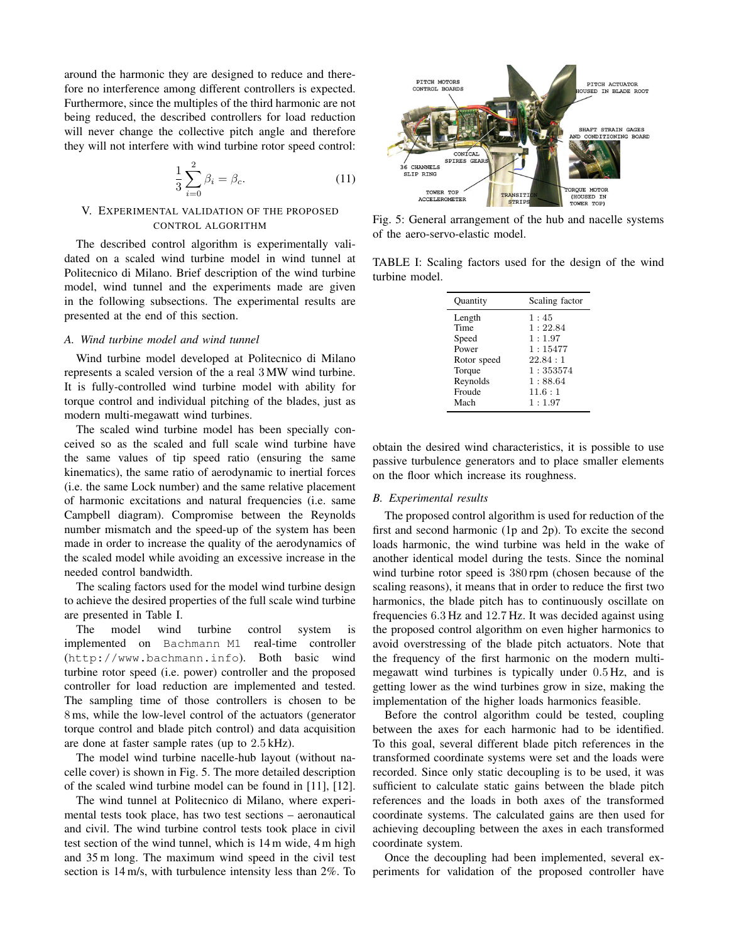around the harmonic they are designed to reduce and therefore no interference among different controllers is expected. Furthermore, since the multiples of the third harmonic are not being reduced, the described controllers for load reduction will never change the collective pitch angle and therefore they will not interfere with wind turbine rotor speed control:

$$
\frac{1}{3} \sum_{i=0}^{2} \beta_i = \beta_c.
$$
 (11)

# V. EXPERIMENTAL VALIDATION OF THE PROPOSED CONTROL ALGORITHM

The described control algorithm is experimentally validated on a scaled wind turbine model in wind tunnel at Politecnico di Milano. Brief description of the wind turbine model, wind tunnel and the experiments made are given in the following subsections. The experimental results are presented at the end of this section.

## *A. Wind turbine model and wind tunnel*

Wind turbine model developed at Politecnico di Milano represents a scaled version of the a real 3 MW wind turbine. It is fully-controlled wind turbine model with ability for torque control and individual pitching of the blades, just as modern multi-megawatt wind turbines.

The scaled wind turbine model has been specially conceived so as the scaled and full scale wind turbine have the same values of tip speed ratio (ensuring the same kinematics), the same ratio of aerodynamic to inertial forces (i.e. the same Lock number) and the same relative placement of harmonic excitations and natural frequencies (i.e. same Campbell diagram). Compromise between the Reynolds number mismatch and the speed-up of the system has been made in order to increase the quality of the aerodynamics of the scaled model while avoiding an excessive increase in the needed control bandwidth.

The scaling factors used for the model wind turbine design to achieve the desired properties of the full scale wind turbine are presented in Table I.

The model wind turbine control system is implemented on Bachmann M1 real-time controller (http://www.bachmann.info). Both basic wind turbine rotor speed (i.e. power) controller and the proposed controller for load reduction are implemented and tested. The sampling time of those controllers is chosen to be 8 ms, while the low-level control of the actuators (generator torque control and blade pitch control) and data acquisition are done at faster sample rates (up to 2.5 kHz).

The model wind turbine nacelle-hub layout (without nacelle cover) is shown in Fig. 5. The more detailed description of the scaled wind turbine model can be found in [11], [12].

The wind tunnel at Politecnico di Milano, where experimental tests took place, has two test sections – aeronautical and civil. The wind turbine control tests took place in civil test section of the wind tunnel, which is 14 m wide, 4 m high and 35 m long. The maximum wind speed in the civil test section is 14 m/s, with turbulence intensity less than 2%. To



Fig. 5: General arrangement of the hub and nacelle systems of the aero-servo-elastic model.

TABLE I: Scaling factors used for the design of the wind turbine model.

| Ouantity    | Scaling factor |  |  |  |  |  |
|-------------|----------------|--|--|--|--|--|
| Length      | 1:45           |  |  |  |  |  |
| Time        | 1:22.84        |  |  |  |  |  |
| Speed       | 1:1.97         |  |  |  |  |  |
| Power       | 1:15477        |  |  |  |  |  |
| Rotor speed | 22.84:1        |  |  |  |  |  |
| Torque      | 1:353574       |  |  |  |  |  |
| Reynolds    | 1:88.64        |  |  |  |  |  |
| Froude      | 11.6:1         |  |  |  |  |  |
| Mach        | 1:1.97         |  |  |  |  |  |

obtain the desired wind characteristics, it is possible to use passive turbulence generators and to place smaller elements on the floor which increase its roughness.

# *B. Experimental results*

The proposed control algorithm is used for reduction of the first and second harmonic (1p and 2p). To excite the second loads harmonic, the wind turbine was held in the wake of another identical model during the tests. Since the nominal wind turbine rotor speed is 380 rpm (chosen because of the scaling reasons), it means that in order to reduce the first two harmonics, the blade pitch has to continuously oscillate on frequencies 6.3 Hz and 12.7 Hz. It was decided against using the proposed control algorithm on even higher harmonics to avoid overstressing of the blade pitch actuators. Note that the frequency of the first harmonic on the modern multimegawatt wind turbines is typically under 0.5 Hz, and is getting lower as the wind turbines grow in size, making the implementation of the higher loads harmonics feasible.

Before the control algorithm could be tested, coupling between the axes for each harmonic had to be identified. To this goal, several different blade pitch references in the transformed coordinate systems were set and the loads were recorded. Since only static decoupling is to be used, it was sufficient to calculate static gains between the blade pitch references and the loads in both axes of the transformed coordinate systems. The calculated gains are then used for achieving decoupling between the axes in each transformed coordinate system.

Once the decoupling had been implemented, several experiments for validation of the proposed controller have